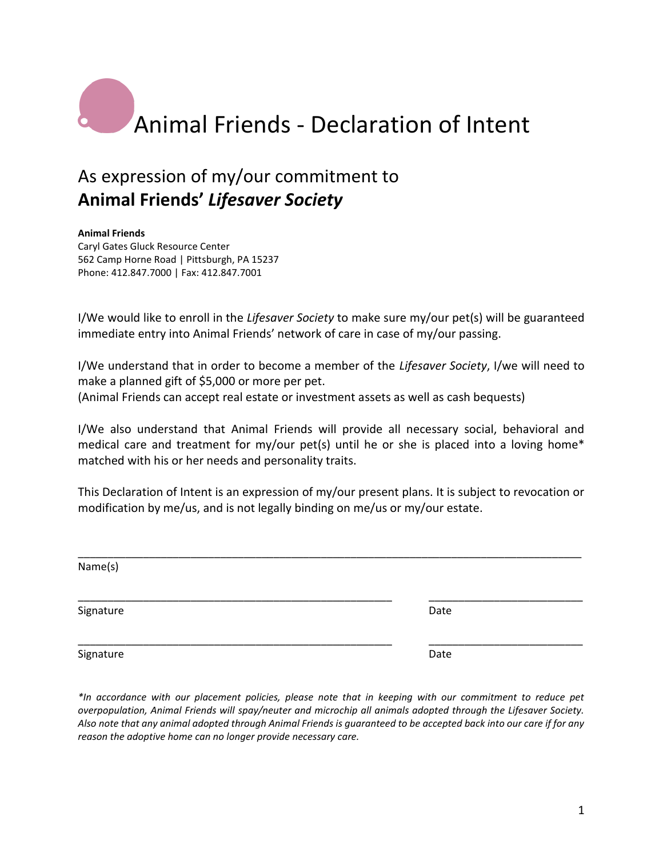## Animal Friends - Declaration of Intent

## As expression of my/our commitment to **Animal Friends'** *Lifesaver Society*

## **Animal Friends**

Caryl Gates Gluck Resource Center 562 Camp Horne Road | Pittsburgh, PA 15237 Phone: 412.847.7000 | Fax: 412.847.7001

I/We would like to enroll in the *Lifesaver Society* to make sure my/our pet(s) will be guaranteed immediate entry into Animal Friends' network of care in case of my/our passing.

I/We understand that in order to become a member of the *Lifesaver Society*, I/we will need to make a planned gift of \$5,000 or more per pet. (Animal Friends can accept real estate or investment assets as well as cash bequests)

I/We also understand that Animal Friends will provide all necessary social, behavioral and medical care and treatment for my/our pet(s) until he or she is placed into a loving home\* matched with his or her needs and personality traits.

This Declaration of Intent is an expression of my/our present plans. It is subject to revocation or modification by me/us, and is not legally binding on me/us or my/our estate.

| Name(s)   |      |  |
|-----------|------|--|
|           |      |  |
| Signature | Date |  |
| Signature | Date |  |

*\*In accordance with our placement policies, please note that in keeping with our commitment to reduce pet overpopulation, Animal Friends will spay/neuter and microchip all animals adopted through the Lifesaver Society. Also note that any animal adopted through Animal Friends is guaranteed to be accepted back into our care if for any reason the adoptive home can no longer provide necessary care.*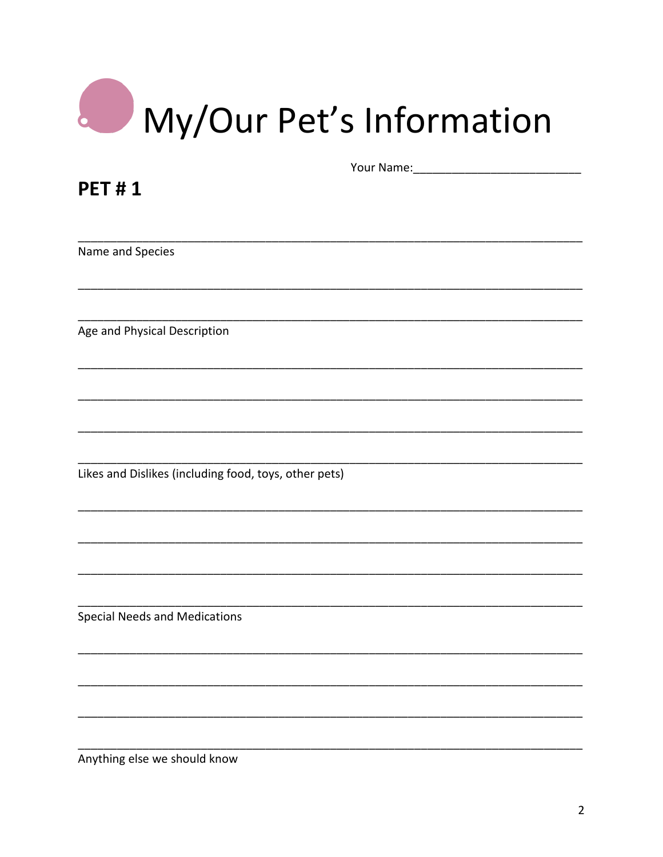| My/Our Pet's Information |
|--------------------------|

| <b>PET#1</b>                                          |  |
|-------------------------------------------------------|--|
|                                                       |  |
|                                                       |  |
| Name and Species                                      |  |
|                                                       |  |
|                                                       |  |
| Age and Physical Description                          |  |
|                                                       |  |
|                                                       |  |
|                                                       |  |
|                                                       |  |
| Likes and Dislikes (including food, toys, other pets) |  |
|                                                       |  |
|                                                       |  |
|                                                       |  |
|                                                       |  |
| <b>Special Needs and Medications</b>                  |  |
|                                                       |  |
|                                                       |  |
|                                                       |  |
|                                                       |  |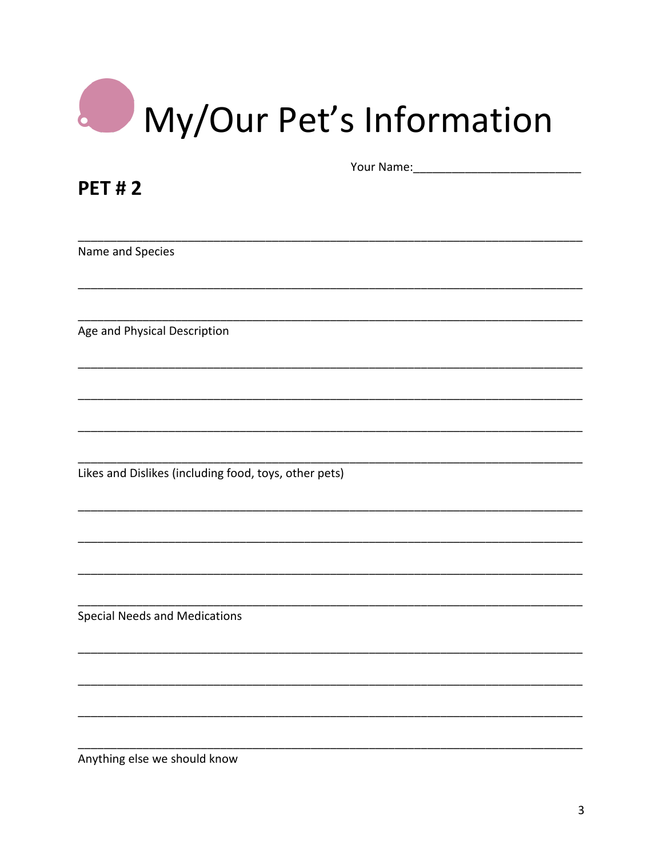| My/Our Pet's Information |
|--------------------------|

| <b>PET#2</b>                                          |  |
|-------------------------------------------------------|--|
|                                                       |  |
|                                                       |  |
|                                                       |  |
| Name and Species                                      |  |
|                                                       |  |
|                                                       |  |
|                                                       |  |
| Age and Physical Description                          |  |
|                                                       |  |
|                                                       |  |
|                                                       |  |
|                                                       |  |
|                                                       |  |
|                                                       |  |
| Likes and Dislikes (including food, toys, other pets) |  |
|                                                       |  |
|                                                       |  |
|                                                       |  |
|                                                       |  |
|                                                       |  |
|                                                       |  |
|                                                       |  |
| <b>Special Needs and Medications</b>                  |  |
|                                                       |  |
|                                                       |  |
|                                                       |  |
|                                                       |  |
|                                                       |  |
|                                                       |  |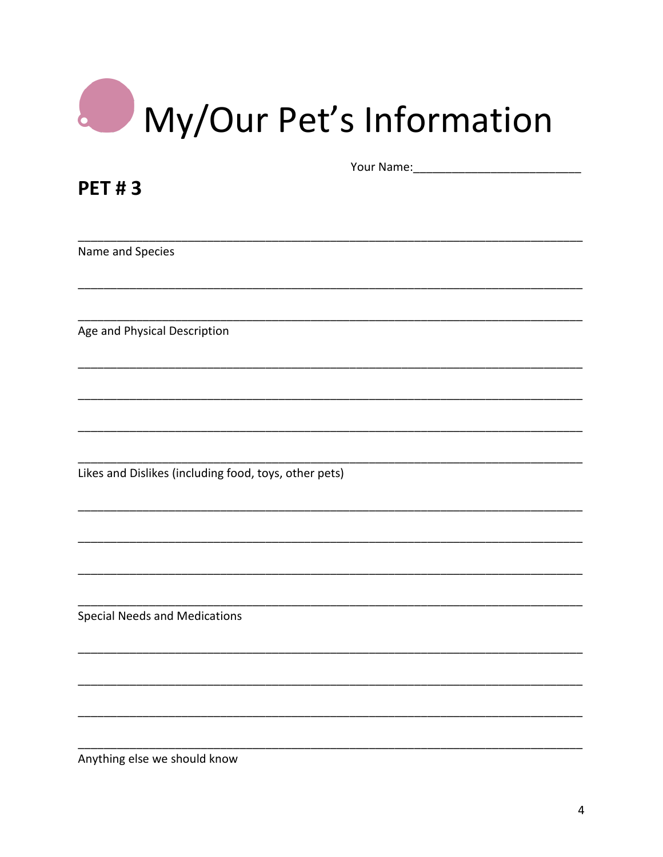| My/Our Pet's Information |
|--------------------------|

| <b>PET#3</b>                                          |  |
|-------------------------------------------------------|--|
|                                                       |  |
|                                                       |  |
| Name and Species                                      |  |
|                                                       |  |
|                                                       |  |
|                                                       |  |
| Age and Physical Description                          |  |
|                                                       |  |
|                                                       |  |
|                                                       |  |
|                                                       |  |
|                                                       |  |
| Likes and Dislikes (including food, toys, other pets) |  |
|                                                       |  |
|                                                       |  |
|                                                       |  |
|                                                       |  |
|                                                       |  |
| <b>Special Needs and Medications</b>                  |  |
|                                                       |  |
|                                                       |  |
|                                                       |  |
|                                                       |  |
|                                                       |  |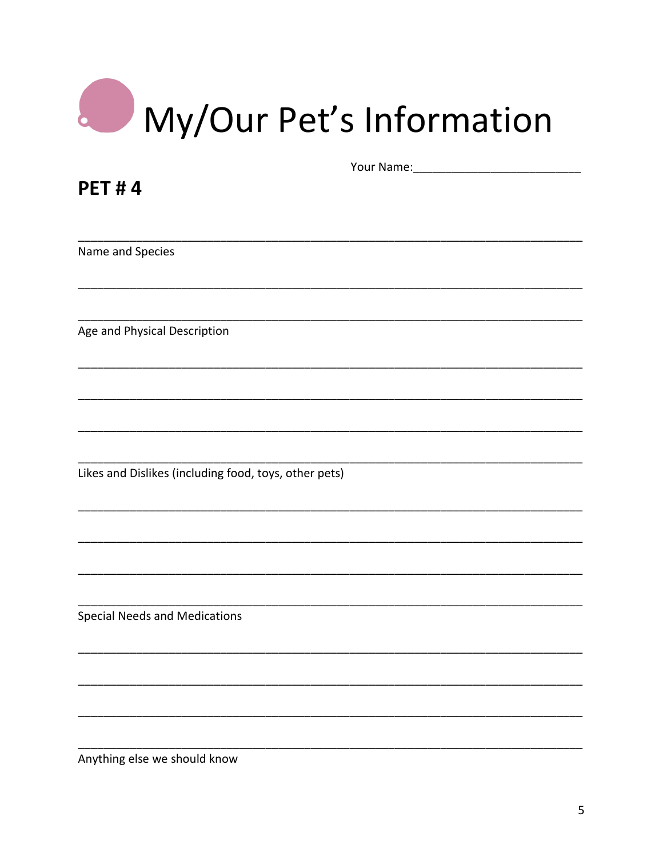| My/Our Pet's Information |
|--------------------------|

| <b>PET#4</b>                                          |  |
|-------------------------------------------------------|--|
|                                                       |  |
|                                                       |  |
| Name and Species                                      |  |
|                                                       |  |
|                                                       |  |
|                                                       |  |
| Age and Physical Description                          |  |
|                                                       |  |
|                                                       |  |
|                                                       |  |
|                                                       |  |
|                                                       |  |
| Likes and Dislikes (including food, toys, other pets) |  |
|                                                       |  |
|                                                       |  |
|                                                       |  |
|                                                       |  |
|                                                       |  |
| <b>Special Needs and Medications</b>                  |  |
|                                                       |  |
|                                                       |  |
|                                                       |  |
|                                                       |  |
|                                                       |  |
|                                                       |  |